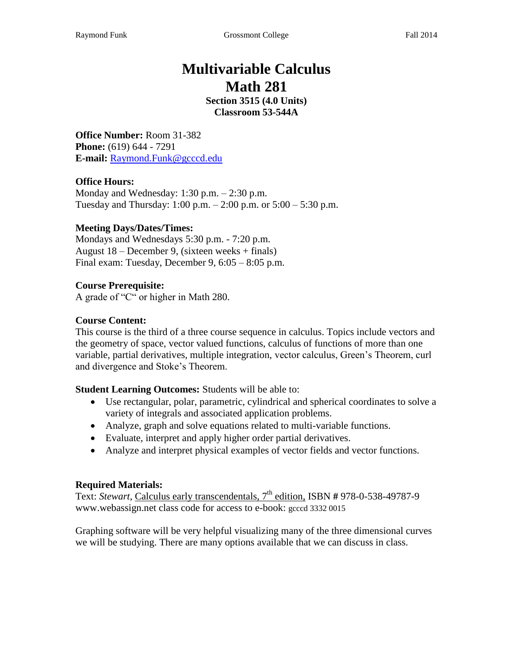# **Multivariable Calculus Math 281**

**Section 3515 (4.0 Units) Classroom 53-544A**

**Office Number:** Room 31-382 **Phone:** (619) 644 - 7291 **E-mail:** Raymond.Funk@gcccd.edu

#### **Office Hours:**

Monday and Wednesday: 1:30 p.m. – 2:30 p.m. Tuesday and Thursday:  $1:00 \text{ p.m.} - 2:00 \text{ p.m.}$  or  $5:00 - 5:30 \text{ p.m.}$ 

#### **Meeting Days/Dates/Times:**

Mondays and Wednesdays 5:30 p.m. - 7:20 p.m. August 18 – December 9, (sixteen weeks + finals) Final exam: Tuesday, December 9, 6:05 – 8:05 p.m.

#### **Course Prerequisite:**

A grade of "C" or higher in Math 280.

#### **Course Content:**

This course is the third of a three course sequence in calculus. Topics include vectors and the geometry of space, vector valued functions, calculus of functions of more than one variable, partial derivatives, multiple integration, vector calculus, Green's Theorem, curl and divergence and Stoke's Theorem.

**Student Learning Outcomes:** Students will be able to:

- Use rectangular, polar, parametric, cylindrical and spherical coordinates to solve a variety of integrals and associated application problems.
- Analyze, graph and solve equations related to multi-variable functions.
- Evaluate, interpret and apply higher order partial derivatives.
- Analyze and interpret physical examples of vector fields and vector functions.

#### **Required Materials:**

Text: *Stewart*, Calculus early transcendentals, 7 th edition, ISBN **#** 978-0-538-49787-9 www.webassign.net class code for access to e-book: gcccd 3332 0015

Graphing software will be very helpful visualizing many of the three dimensional curves we will be studying. There are many options available that we can discuss in class.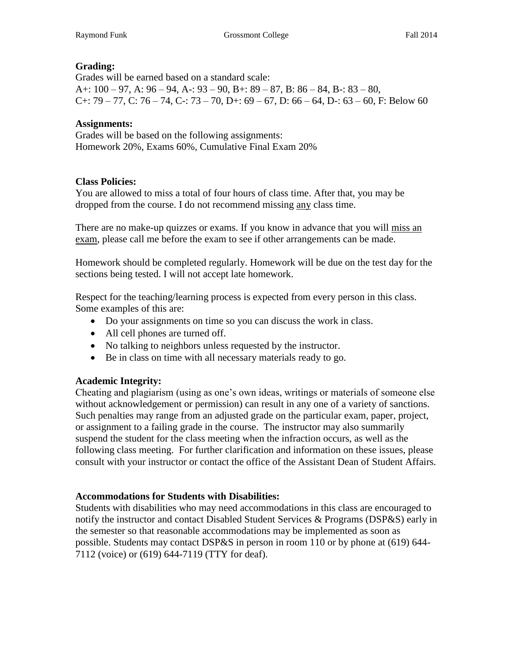## **Grading:**

Grades will be earned based on a standard scale: A+:  $100 - 97$ , A:  $96 - 94$ , A -:  $93 - 90$ , B +:  $89 - 87$ , B:  $86 - 84$ , B -:  $83 - 80$ , C+: 79 – 77, C: 76 – 74, C-: 73 – 70, D+: 69 – 67, D: 66 – 64, D-: 63 – 60, F: Below 60

#### **Assignments:**

Grades will be based on the following assignments: Homework 20%, Exams 60%, Cumulative Final Exam 20%

#### **Class Policies:**

You are allowed to miss a total of four hours of class time. After that, you may be dropped from the course. I do not recommend missing any class time.

There are no make-up quizzes or exams. If you know in advance that you will miss an exam, please call me before the exam to see if other arrangements can be made.

Homework should be completed regularly. Homework will be due on the test day for the sections being tested. I will not accept late homework.

Respect for the teaching/learning process is expected from every person in this class. Some examples of this are:

- Do your assignments on time so you can discuss the work in class.
- All cell phones are turned off.
- No talking to neighbors unless requested by the instructor.
- Be in class on time with all necessary materials ready to go.

## **Academic Integrity:**

Cheating and plagiarism (using as one's own ideas, writings or materials of someone else without acknowledgement or permission) can result in any one of a variety of sanctions. Such penalties may range from an adjusted grade on the particular exam, paper, project, or assignment to a failing grade in the course. The instructor may also summarily suspend the student for the class meeting when the infraction occurs, as well as the following class meeting. For further clarification and information on these issues, please consult with your instructor or contact the office of the Assistant Dean of Student Affairs.

#### **Accommodations for Students with Disabilities:**

Students with disabilities who may need accommodations in this class are encouraged to notify the instructor and contact Disabled Student Services & Programs (DSP&S) early in the semester so that reasonable accommodations may be implemented as soon as possible. Students may contact DSP&S in person in room 110 or by phone at (619) 644- 7112 (voice) or (619) 644-7119 (TTY for deaf).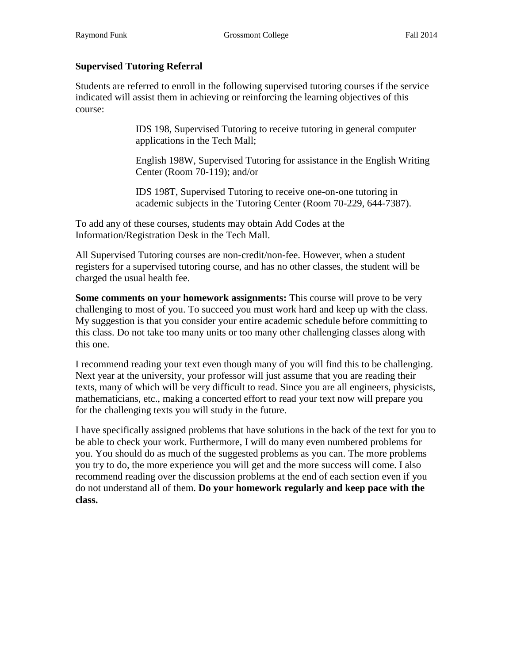#### **Supervised Tutoring Referral**

Students are referred to enroll in the following supervised tutoring courses if the service indicated will assist them in achieving or reinforcing the learning objectives of this course:

> IDS 198, Supervised Tutoring to receive tutoring in general computer applications in the Tech Mall;

English 198W, Supervised Tutoring for assistance in the English Writing Center (Room 70-119); and/or

IDS 198T, Supervised Tutoring to receive one-on-one tutoring in academic subjects in the Tutoring Center (Room 70-229, 644-7387).

To add any of these courses, students may obtain Add Codes at the Information/Registration Desk in the Tech Mall.

All Supervised Tutoring courses are non-credit/non-fee. However, when a student registers for a supervised tutoring course, and has no other classes, the student will be charged the usual health fee.

**Some comments on your homework assignments:** This course will prove to be very challenging to most of you. To succeed you must work hard and keep up with the class. My suggestion is that you consider your entire academic schedule before committing to this class. Do not take too many units or too many other challenging classes along with this one.

I recommend reading your text even though many of you will find this to be challenging. Next year at the university, your professor will just assume that you are reading their texts, many of which will be very difficult to read. Since you are all engineers, physicists, mathematicians, etc., making a concerted effort to read your text now will prepare you for the challenging texts you will study in the future.

I have specifically assigned problems that have solutions in the back of the text for you to be able to check your work. Furthermore, I will do many even numbered problems for you. You should do as much of the suggested problems as you can. The more problems you try to do, the more experience you will get and the more success will come. I also recommend reading over the discussion problems at the end of each section even if you do not understand all of them. **Do your homework regularly and keep pace with the class.**